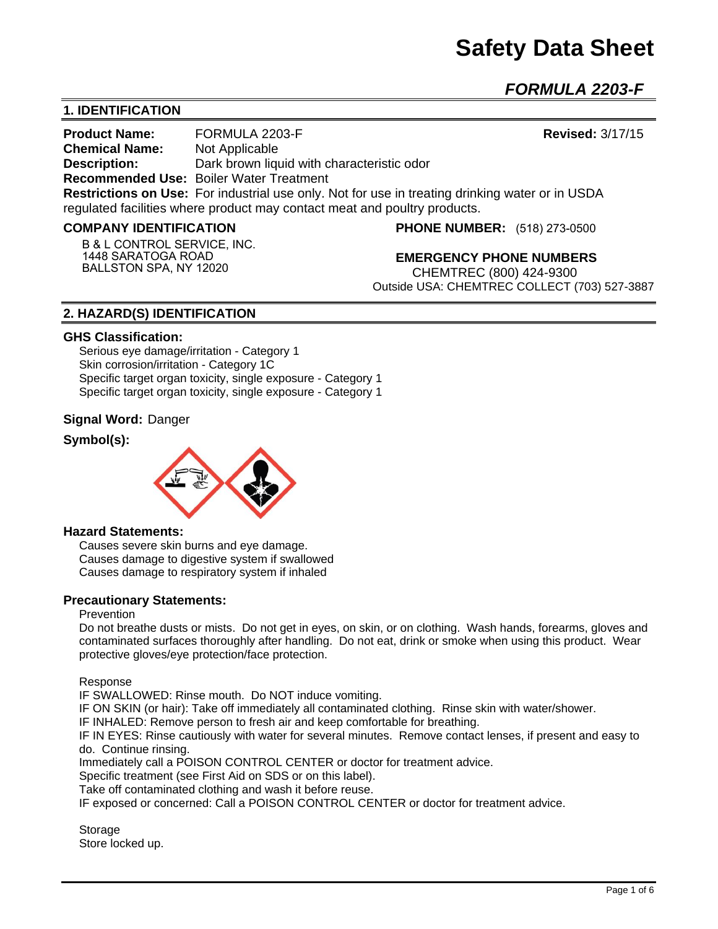# **Safety Data Sheet**

*FORMULA 2203-F* 

# **1. IDENTIFICATION**

**Product Name:** FORMULA 2203-F **Revised:** 3/17/15 **Chemical Name:** Not Applicable **Description:** Dark brown liquid with characteristic odor **Recommended Use:** Boiler Water Treatment **Restrictions on Use:** For industrial use only. Not for use in treating drinking water or in USDA regulated facilities where product may contact meat and poultry products.

#### **COMPANY IDENTIFICATION**

**B & L CONTROL SERVICE, INC. 1448 SARATOGA ROAD BALLSTON SPA, NY 12020**

**PHONE NUMBER:** (518) 273-0500

**EMERGENCY PHONE NUMBERS** CHEMTREC (800) 424-9300 Outside USA: CHEMTREC COLLECT (703) 527-3887

## **2. HAZARD(S) IDENTIFICATION**

#### **GHS Classification:**

Serious eye damage/irritation - Category 1 Skin corrosion/irritation - Category 1C Specific target organ toxicity, single exposure - Category 1 Specific target organ toxicity, single exposure - Category 1

#### **Signal Word:** Danger

## **Symbol(s):**



#### **Hazard Statements:**

Causes severe skin burns and eye damage. Causes damage to digestive system if swallowed Causes damage to respiratory system if inhaled

#### **Precautionary Statements:**

#### Prevention

Do not breathe dusts or mists. Do not get in eyes, on skin, or on clothing. Wash hands, forearms, gloves and contaminated surfaces thoroughly after handling. Do not eat, drink or smoke when using this product. Wear protective gloves/eye protection/face protection.

Response

IF SWALLOWED: Rinse mouth. Do NOT induce vomiting.

IF ON SKIN (or hair): Take off immediately all contaminated clothing. Rinse skin with water/shower.

IF INHALED: Remove person to fresh air and keep comfortable for breathing.

IF IN EYES: Rinse cautiously with water for several minutes. Remove contact lenses, if present and easy to do. Continue rinsing.

Immediately call a POISON CONTROL CENTER or doctor for treatment advice.

Specific treatment (see First Aid on SDS or on this label).

Take off contaminated clothing and wash it before reuse.

IF exposed or concerned: Call a POISON CONTROL CENTER or doctor for treatment advice.

**Storage** Store locked up.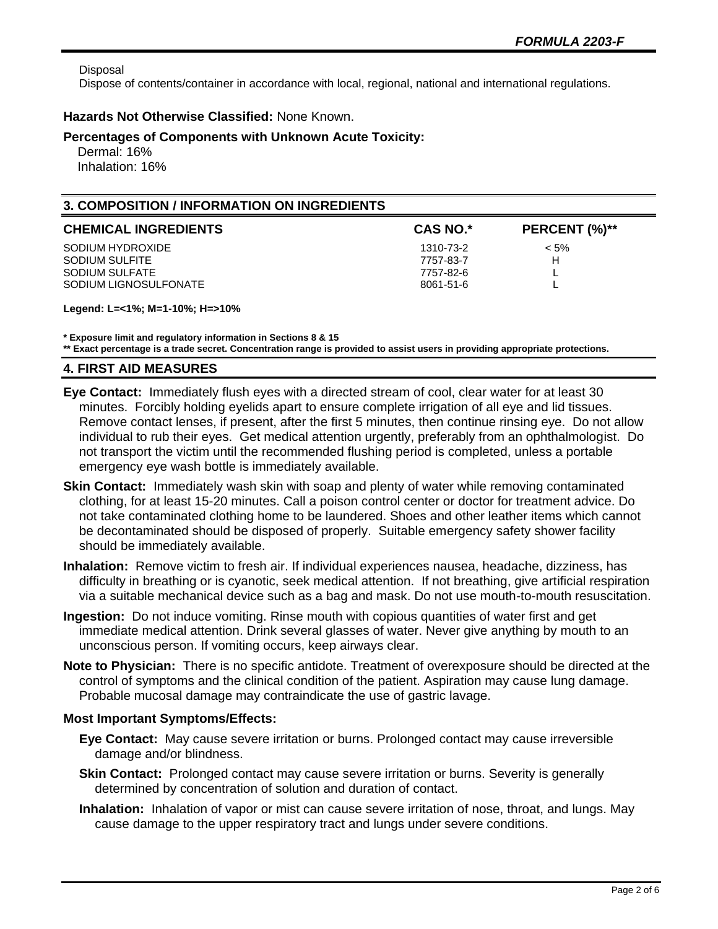Disposal

Dispose of contents/container in accordance with local, regional, national and international regulations.

#### **Hazards Not Otherwise Classified:** None Known.

#### **Percentages of Components with Unknown Acute Toxicity:**

 Dermal: 16% Inhalation: 16%

# **3. COMPOSITION / INFORMATION ON INGREDIENTS**

| <b>CHEMICAL INGREDIENTS</b> | <b>CAS NO.*</b> | PERCENT (%)** |
|-----------------------------|-----------------|---------------|
| SODIUM HYDROXIDE            | 1310-73-2       | $< 5\%$       |
| SODIUM SULFITE              | 7757-83-7       | н             |
| SODIUM SULFATE              | 7757-82-6       |               |
| SODIUM LIGNOSULFONATE       | 8061-51-6       |               |

**Legend: L=<1%; M=1-10%; H=>10%**

**\* Exposure limit and regulatory information in Sections 8 & 15**

**\*\* Exact percentage is a trade secret. Concentration range is provided to assist users in providing appropriate protections.**

#### **4. FIRST AID MEASURES**

- **Eye Contact:** Immediately flush eyes with a directed stream of cool, clear water for at least 30 minutes. Forcibly holding eyelids apart to ensure complete irrigation of all eye and lid tissues. Remove contact lenses, if present, after the first 5 minutes, then continue rinsing eye. Do not allow individual to rub their eyes. Get medical attention urgently, preferably from an ophthalmologist. Do not transport the victim until the recommended flushing period is completed, unless a portable emergency eye wash bottle is immediately available.
- **Skin Contact:** Immediately wash skin with soap and plenty of water while removing contaminated clothing, for at least 15-20 minutes. Call a poison control center or doctor for treatment advice. Do not take contaminated clothing home to be laundered. Shoes and other leather items which cannot be decontaminated should be disposed of properly. Suitable emergency safety shower facility should be immediately available.
- **Inhalation:** Remove victim to fresh air. If individual experiences nausea, headache, dizziness, has difficulty in breathing or is cyanotic, seek medical attention. If not breathing, give artificial respiration via a suitable mechanical device such as a bag and mask. Do not use mouth-to-mouth resuscitation.
- **Ingestion:** Do not induce vomiting. Rinse mouth with copious quantities of water first and get immediate medical attention. Drink several glasses of water. Never give anything by mouth to an unconscious person. If vomiting occurs, keep airways clear.
- **Note to Physician:** There is no specific antidote. Treatment of overexposure should be directed at the control of symptoms and the clinical condition of the patient. Aspiration may cause lung damage. Probable mucosal damage may contraindicate the use of gastric lavage.

#### **Most Important Symptoms/Effects:**

- **Eye Contact:** May cause severe irritation or burns. Prolonged contact may cause irreversible damage and/or blindness.
- **Skin Contact:** Prolonged contact may cause severe irritation or burns. Severity is generally determined by concentration of solution and duration of contact.
- **Inhalation:** Inhalation of vapor or mist can cause severe irritation of nose, throat, and lungs. May cause damage to the upper respiratory tract and lungs under severe conditions.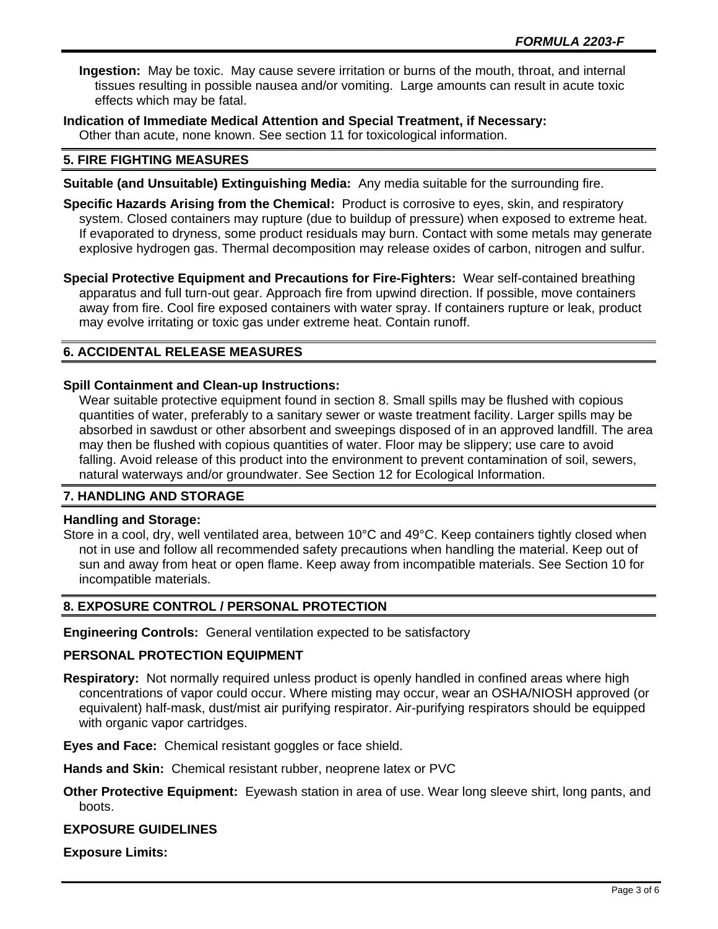**Ingestion:** May be toxic. May cause severe irritation or burns of the mouth, throat, and internal tissues resulting in possible nausea and/or vomiting. Large amounts can result in acute toxic effects which may be fatal.

**Indication of Immediate Medical Attention and Special Treatment, if Necessary:** Other than acute, none known. See section 11 for toxicological information.

## **5. FIRE FIGHTING MEASURES**

- **Suitable (and Unsuitable) Extinguishing Media:** Any media suitable for the surrounding fire.
- **Specific Hazards Arising from the Chemical:** Product is corrosive to eyes, skin, and respiratory system. Closed containers may rupture (due to buildup of pressure) when exposed to extreme heat. If evaporated to dryness, some product residuals may burn. Contact with some metals may generate explosive hydrogen gas. Thermal decomposition may release oxides of carbon, nitrogen and sulfur.

**Special Protective Equipment and Precautions for Fire-Fighters:** Wear self-contained breathing apparatus and full turn-out gear. Approach fire from upwind direction. If possible, move containers away from fire. Cool fire exposed containers with water spray. If containers rupture or leak, product may evolve irritating or toxic gas under extreme heat. Contain runoff.

# **6. ACCIDENTAL RELEASE MEASURES**

#### **Spill Containment and Clean-up Instructions:**

Wear suitable protective equipment found in section 8. Small spills may be flushed with copious quantities of water, preferably to a sanitary sewer or waste treatment facility. Larger spills may be absorbed in sawdust or other absorbent and sweepings disposed of in an approved landfill. The area may then be flushed with copious quantities of water. Floor may be slippery; use care to avoid falling. Avoid release of this product into the environment to prevent contamination of soil, sewers, natural waterways and/or groundwater. See Section 12 for Ecological Information.

# **7. HANDLING AND STORAGE**

#### **Handling and Storage:**

Store in a cool, dry, well ventilated area, between 10°C and 49°C. Keep containers tightly closed when not in use and follow all recommended safety precautions when handling the material. Keep out of sun and away from heat or open flame. Keep away from incompatible materials. See Section 10 for incompatible materials.

# **8. EXPOSURE CONTROL / PERSONAL PROTECTION**

**Engineering Controls:** General ventilation expected to be satisfactory

#### **PERSONAL PROTECTION EQUIPMENT**

**Respiratory:** Not normally required unless product is openly handled in confined areas where high concentrations of vapor could occur. Where misting may occur, wear an OSHA/NIOSH approved (or equivalent) half-mask, dust/mist air purifying respirator. Air-purifying respirators should be equipped with organic vapor cartridges.

## **Eyes and Face:** Chemical resistant goggles or face shield.

**Hands and Skin:** Chemical resistant rubber, neoprene latex or PVC

**Other Protective Equipment:** Eyewash station in area of use. Wear long sleeve shirt, long pants, and boots.

#### **EXPOSURE GUIDELINES**

**Exposure Limits:**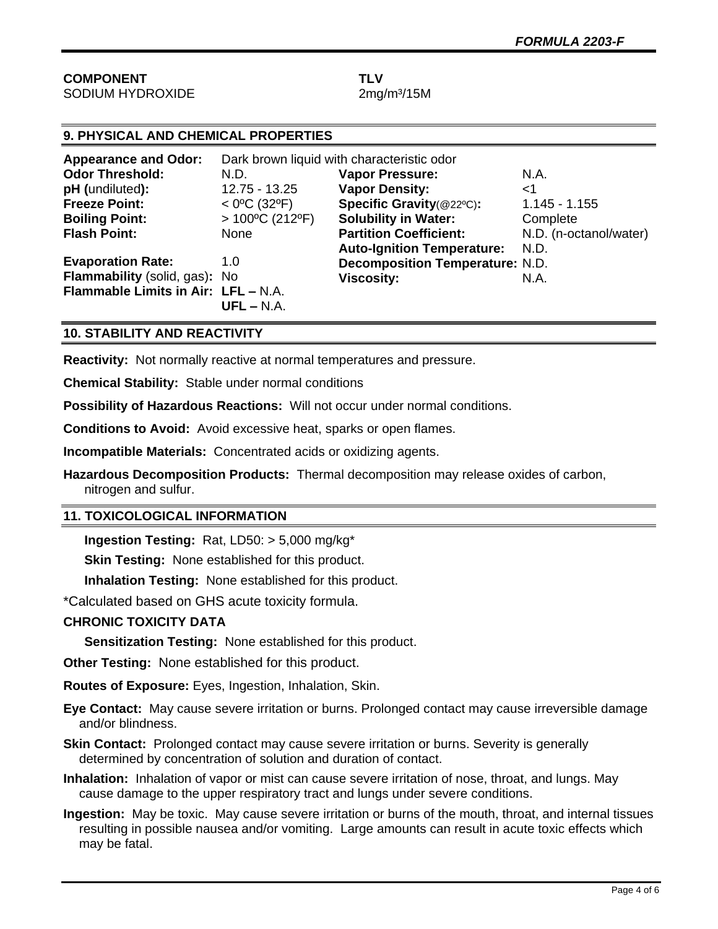#### **COMPONENT TLV** SODIUM HYDROXIDE 2mg/m<sup>3</sup>/15M

| 9. PHYSICAL AND CHEMICAL PROPERTIES  |                                            |                                        |                        |  |
|--------------------------------------|--------------------------------------------|----------------------------------------|------------------------|--|
| <b>Appearance and Odor:</b>          | Dark brown liquid with characteristic odor |                                        |                        |  |
| <b>Odor Threshold:</b>               | N.D.                                       | <b>Vapor Pressure:</b>                 | N.A.                   |  |
| pH (undiluted):                      | 12.75 - 13.25                              | <b>Vapor Density:</b>                  | ا>                     |  |
| <b>Freeze Point:</b>                 | $<$ 0°C (32°F)                             | Specific Gravity(@22°C):               | $1.145 - 1.155$        |  |
| <b>Boiling Point:</b>                | $> 100^{\circ}$ C (212°F)                  | <b>Solubility in Water:</b>            | Complete               |  |
| <b>Flash Point:</b>                  | None                                       | <b>Partition Coefficient:</b>          | N.D. (n-octanol/water) |  |
|                                      |                                            | <b>Auto-Ignition Temperature:</b>      | N.D.                   |  |
| <b>Evaporation Rate:</b>             | 1.0                                        | <b>Decomposition Temperature: N.D.</b> |                        |  |
| <b>Flammability</b> (solid, gas): No |                                            | <b>Viscosity:</b>                      | N.A.                   |  |
| Flammable Limits in Air: LFL - N.A.  | $UFL - N.A.$                               |                                        |                        |  |

# **10. STABILITY AND REACTIVITY**

**Reactivity:** Not normally reactive at normal temperatures and pressure.

**Chemical Stability:** Stable under normal conditions

**Possibility of Hazardous Reactions:** Will not occur under normal conditions.

**Conditions to Avoid:** Avoid excessive heat, sparks or open flames.

**Incompatible Materials:** Concentrated acids or oxidizing agents.

**Hazardous Decomposition Products:** Thermal decomposition may release oxides of carbon, nitrogen and sulfur.

# **11. TOXICOLOGICAL INFORMATION**

**Ingestion Testing:** Rat, LD50: > 5,000 mg/kg\*

**Skin Testing:** None established for this product.

**Inhalation Testing:** None established for this product.

\*Calculated based on GHS acute toxicity formula.

#### **CHRONIC TOXICITY DATA**

**Sensitization Testing:** None established for this product.

**Other Testing:** None established for this product.

**Routes of Exposure:** Eyes, Ingestion, Inhalation, Skin.

**Eye Contact:** May cause severe irritation or burns. Prolonged contact may cause irreversible damage and/or blindness.

**Skin Contact:** Prolonged contact may cause severe irritation or burns. Severity is generally determined by concentration of solution and duration of contact.

**Inhalation:** Inhalation of vapor or mist can cause severe irritation of nose, throat, and lungs. May cause damage to the upper respiratory tract and lungs under severe conditions.

**Ingestion:** May be toxic. May cause severe irritation or burns of the mouth, throat, and internal tissues resulting in possible nausea and/or vomiting. Large amounts can result in acute toxic effects which may be fatal.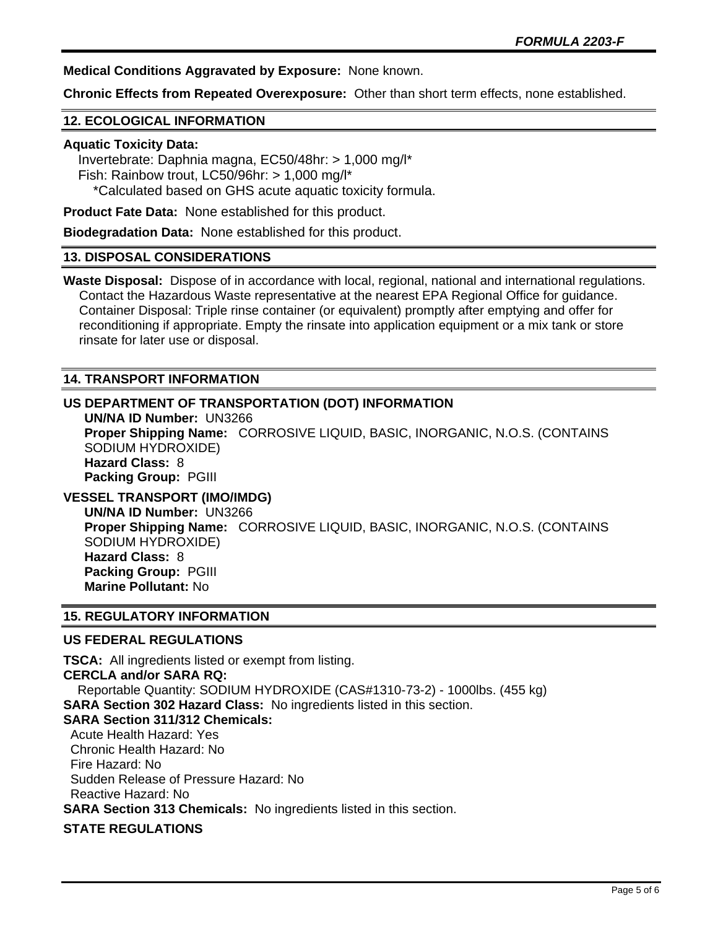**Medical Conditions Aggravated by Exposure:** None known.

**Chronic Effects from Repeated Overexposure:** Other than short term effects, none established.

## **12. ECOLOGICAL INFORMATION**

#### **Aquatic Toxicity Data:**

 Invertebrate: Daphnia magna, EC50/48hr: > 1,000 mg/l\* Fish: Rainbow trout, LC50/96hr: > 1,000 mg/l\* \*Calculated based on GHS acute aquatic toxicity formula.

**Product Fate Data:** None established for this product.

**Biodegradation Data:** None established for this product.

#### **13. DISPOSAL CONSIDERATIONS**

**Waste Disposal:** Dispose of in accordance with local, regional, national and international regulations. Contact the Hazardous Waste representative at the nearest EPA Regional Office for guidance. Container Disposal: Triple rinse container (or equivalent) promptly after emptying and offer for reconditioning if appropriate. Empty the rinsate into application equipment or a mix tank or store rinsate for later use or disposal.

#### **14. TRANSPORT INFORMATION**

## **US DEPARTMENT OF TRANSPORTATION (DOT) INFORMATION**

**UN/NA ID Number:** UN3266 **Proper Shipping Name:** CORROSIVE LIQUID, BASIC, INORGANIC, N.O.S. (CONTAINS SODIUM HYDROXIDE) **Hazard Class:** 8 **Packing Group:** PGIII

**VESSEL TRANSPORT (IMO/IMDG)**

**UN/NA ID Number:** UN3266 **Proper Shipping Name:** CORROSIVE LIQUID, BASIC, INORGANIC, N.O.S. (CONTAINS SODIUM HYDROXIDE) **Hazard Class:** 8 **Packing Group:** PGIII **Marine Pollutant:** No

#### **15. REGULATORY INFORMATION**

#### **US FEDERAL REGULATIONS**

**TSCA:** All ingredients listed or exempt from listing. **CERCLA and/or SARA RQ:**  Reportable Quantity: SODIUM HYDROXIDE (CAS#1310-73-2) - 1000lbs. (455 kg) **SARA Section 302 Hazard Class:** No ingredients listed in this section. **SARA Section 311/312 Chemicals:**  Acute Health Hazard: Yes Chronic Health Hazard: No Fire Hazard: No Sudden Release of Pressure Hazard: No Reactive Hazard: No **SARA Section 313 Chemicals:** No ingredients listed in this section.

# **STATE REGULATIONS**